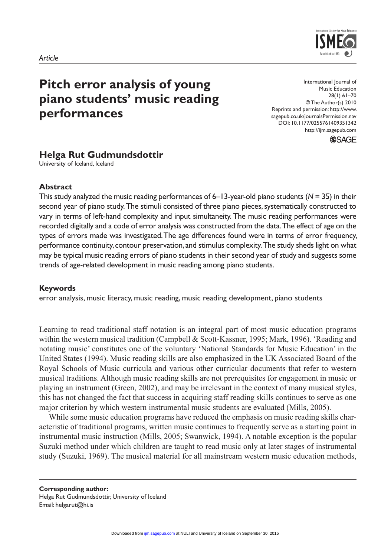

# **Pitch error analysis of young piano students' music reading performances**

International Journal of Music Education 28(1) 61–70 © The Author(s) 2010 Reprints and permission: http://www. sagepub.co.uk/journalsPermission.nav DOI: 10.1177/0255761409351342 http://ijm.sagepub.com \$SAGE

# **Helga Rut Gudmundsdottir**

University of Iceland, Iceland

#### **Abstract**

This study analyzed the music reading performances of 6–13-year-old piano students (*N* = 35) in their second year of piano study. The stimuli consisted of three piano pieces, systematically constructed to vary in terms of left-hand complexity and input simultaneity. The music reading performances were recorded digitally and a code of error analysis was constructed from the data. The effect of age on the types of errors made was investigated. The age differences found were in terms of error frequency, performance continuity, contour preservation, and stimulus complexity.The study sheds light on what may be typical music reading errors of piano students in their second year of study and suggests some trends of age-related development in music reading among piano students.

#### **Keywords**

error analysis, music literacy, music reading, music reading development, piano students

Learning to read traditional staff notation is an integral part of most music education programs within the western musical tradition (Campbell & Scott-Kassner, 1995; Mark, 1996). 'Reading and notating music' constitutes one of the voluntary 'National Standards for Music Education' in the United States (1994). Music reading skills are also emphasized in the UK Associated Board of the Royal Schools of Music curricula and various other curricular documents that refer to western musical traditions. Although music reading skills are not prerequisites for engagement in music or playing an instrument (Green, 2002), and may be irrelevant in the context of many musical styles, this has not changed the fact that success in acquiring staff reading skills continues to serve as one major criterion by which western instrumental music students are evaluated (Mills, 2005).

While some music education programs have reduced the emphasis on music reading skills characteristic of traditional programs, written music continues to frequently serve as a starting point in instrumental music instruction (Mills, 2005; Swanwick, 1994). A notable exception is the popular Suzuki method under which children are taught to read music only at later stages of instrumental study (Suzuki, 1969). The musical material for all mainstream western music education methods,

**Corresponding author:** Helga Rut Gudmundsdottir, University of Iceland Email: helgarut@hi.is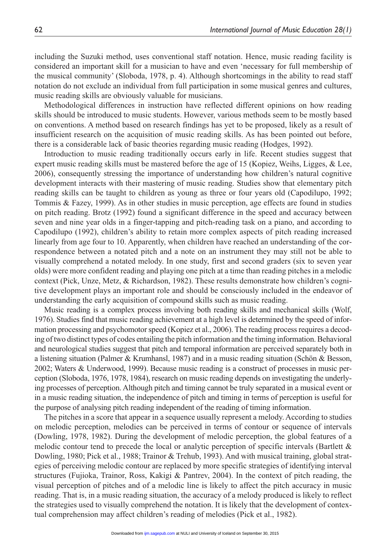including the Suzuki method, uses conventional staff notation. Hence, music reading facility is considered an important skill for a musician to have and even 'necessary for full membership of the musical community' (Sloboda, 1978, p. 4). Although shortcomings in the ability to read staff notation do not exclude an individual from full participation in some musical genres and cultures, music reading skills are obviously valuable for musicians.

Methodological differences in instruction have reflected different opinions on how reading skills should be introduced to music students. However, various methods seem to be mostly based on conventions. A method based on research findings has yet to be proposed, likely as a result of insufficient research on the acquisition of music reading skills. As has been pointed out before, there is a considerable lack of basic theories regarding music reading (Hodges, 1992).

Introduction to music reading traditionally occurs early in life. Recent studies suggest that expert music reading skills must be mastered before the age of 15 (Kopiez, Weihs, Ligges, & Lee, 2006), consequently stressing the importance of understanding how children's natural cognitive development interacts with their mastering of music reading. Studies show that elementary pitch reading skills can be taught to children as young as three or four years old (Capodilupo, 1992; Tommis & Fazey, 1999). As in other studies in music perception, age effects are found in studies on pitch reading. Brotz (1992) found a significant difference in the speed and accuracy between seven and nine year olds in a finger-tapping and pitch-reading task on a piano, and according to Capodilupo (1992), children's ability to retain more complex aspects of pitch reading increased linearly from age four to 10. Apparently, when children have reached an understanding of the correspondence between a notated pitch and a note on an instrument they may still not be able to visually comprehend a notated melody. In one study, first and second graders (six to seven year olds) were more confident reading and playing one pitch at a time than reading pitches in a melodic context (Pick, Unze, Metz, & Richardson, 1982). These results demonstrate how children's cognitive development plays an important role and should be consciously included in the endeavor of understanding the early acquisition of compound skills such as music reading.

Music reading is a complex process involving both reading skills and mechanical skills (Wolf, 1976). Studies find that music reading achievement at a high level is determined by the speed of information processing and psychomotor speed (Kopiez et al., 2006). The reading process requires a decoding of two distinct types of codes entailing the pitch information and the timing information. Behavioral and neurological studies suggest that pitch and temporal information are perceived separately both in a listening situation (Palmer & Krumhansl, 1987) and in a music reading situation (Schön & Besson, 2002; Waters & Underwood, 1999). Because music reading is a construct of processes in music perception (Sloboda, 1976, 1978, 1984), research on music reading depends on investigating the underlying processes of perception. Although pitch and timing cannot be truly separated in a musical event or in a music reading situation, the independence of pitch and timing in terms of perception is useful for the purpose of analysing pitch reading independent of the reading of timing information.

The pitches in a score that appear in a sequence usually represent a melody. According to studies on melodic perception, melodies can be perceived in terms of contour or sequence of intervals (Dowling, 1978, 1982). During the development of melodic perception, the global features of a melodic contour tend to precede the local or analytic perception of specific intervals (Bartlett & Dowling, 1980; Pick et al., 1988; Trainor & Trehub, 1993). And with musical training, global strategies of perceiving melodic contour are replaced by more specific strategies of identifying interval structures (Fujioka, Trainor, Ross, Kakigi & Pantrev, 2004). In the context of pitch reading, the visual perception of pitches and of a melodic line is likely to affect the pitch accuracy in music reading. That is, in a music reading situation, the accuracy of a melody produced is likely to reflect the strategies used to visually comprehend the notation. It is likely that the development of contextual comprehension may affect children's reading of melodies (Pick et al., 1982).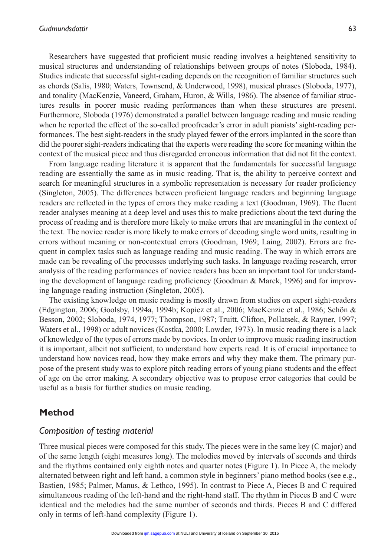Researchers have suggested that proficient music reading involves a heightened sensitivity to musical structures and understanding of relationships between groups of notes (Sloboda, 1984). Studies indicate that successful sight-reading depends on the recognition of familiar structures such as chords (Salis, 1980; Waters, Townsend, & Underwood, 1998), musical phrases (Sloboda, 1977), and tonality (MacKenzie, Vaneerd, Graham, Huron, & Wills, 1986). The absence of familiar structures results in poorer music reading performances than when these structures are present. Furthermore, Sloboda (1976) demonstrated a parallel between language reading and music reading when he reported the effect of the so-called proofreader's error in adult pianists' sight-reading performances. The best sight-readers in the study played fewer of the errors implanted in the score than did the poorer sight-readers indicating that the experts were reading the score for meaning within the context of the musical piece and thus disregarded erroneous information that did not fit the context.

From language reading literature it is apparent that the fundamentals for successful language reading are essentially the same as in music reading. That is, the ability to perceive context and search for meaningful structures in a symbolic representation is necessary for reader proficiency (Singleton, 2005). The differences between proficient language readers and beginning language readers are reflected in the types of errors they make reading a text (Goodman, 1969). The fluent reader analyses meaning at a deep level and uses this to make predictions about the text during the process of reading and is therefore more likely to make errors that are meaningful in the context of the text. The novice reader is more likely to make errors of decoding single word units, resulting in errors without meaning or non-contextual errors (Goodman, 1969; Laing, 2002). Errors are frequent in complex tasks such as language reading and music reading. The way in which errors are made can be revealing of the processes underlying such tasks. In language reading research, error analysis of the reading performances of novice readers has been an important tool for understanding the development of language reading proficiency (Goodman & Marek, 1996) and for improving language reading instruction (Singleton, 2005).

The existing knowledge on music reading is mostly drawn from studies on expert sight-readers (Edgington, 2006; Goolsby, 1994a, 1994b; Kopiez et al., 2006; MacKenzie et al., 1986; Schön & Besson, 2002; Sloboda, 1974, 1977; Thompson, 1987; Truitt, Clifton, Pollatsek, & Rayner, 1997; Waters et al., 1998) or adult novices (Kostka, 2000; Lowder, 1973). In music reading there is a lack of knowledge of the types of errors made by novices. In order to improve music reading instruction it is important, albeit not sufficient, to understand how experts read. It is of crucial importance to understand how novices read, how they make errors and why they make them. The primary purpose of the present study was to explore pitch reading errors of young piano students and the effect of age on the error making. A secondary objective was to propose error categories that could be useful as a basis for further studies on music reading.

#### **Method**

#### *Composition of testing material*

Three musical pieces were composed for this study. The pieces were in the same key (C major) and of the same length (eight measures long). The melodies moved by intervals of seconds and thirds and the rhythms contained only eighth notes and quarter notes (Figure 1). In Piece A, the melody alternated between right and left hand, a common style in beginners' piano method books (see e.g., Bastien, 1985; Palmer, Manus, & Lethco, 1995). In contrast to Piece A, Pieces B and C required simultaneous reading of the left-hand and the right-hand staff. The rhythm in Pieces B and C were identical and the melodies had the same number of seconds and thirds. Pieces B and C differed only in terms of left-hand complexity (Figure 1).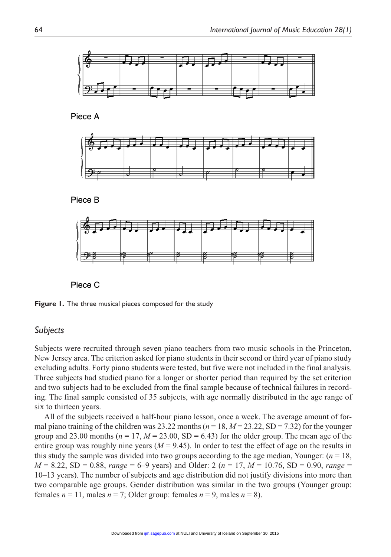

Piece A









**Figure 1.** The three musical pieces composed for the study

#### *Subjects*

Subjects were recruited through seven piano teachers from two music schools in the Princeton, New Jersey area. The criterion asked for piano students in their second or third year of piano study excluding adults. Forty piano students were tested, but five were not included in the final analysis. Three subjects had studied piano for a longer or shorter period than required by the set criterion and two subjects had to be excluded from the final sample because of technical failures in recording. The final sample consisted of 35 subjects, with age normally distributed in the age range of six to thirteen years.

All of the subjects received a half-hour piano lesson, once a week. The average amount of formal piano training of the children was 23.22 months ( $n = 18$ ,  $M = 23.22$ , SD = 7.32) for the younger group and 23.00 months ( $n = 17$ ,  $M = 23.00$ , SD = 6.43) for the older group. The mean age of the entire group was roughly nine years  $(M = 9.45)$ . In order to test the effect of age on the results in this study the sample was divided into two groups according to the age median, Younger:  $(n = 18,$ *M* = 8.22, SD = 0.88, *range* = 6–9 years) and Older: 2 (*n* = 17, *M* = 10.76, SD = 0.90, *range* = 10–13 years). The number of subjects and age distribution did not justify divisions into more than two comparable age groups. Gender distribution was similar in the two groups (Younger group: females  $n = 11$ , males  $n = 7$ ; Older group: females  $n = 9$ , males  $n = 8$ ).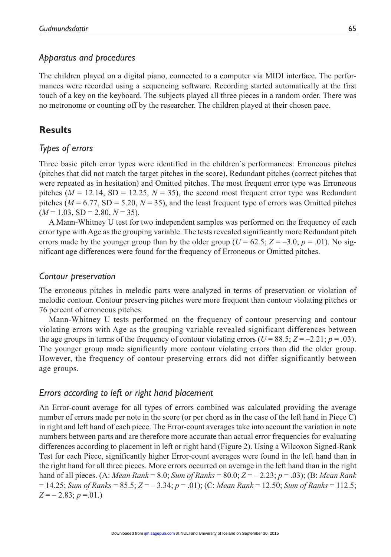### *Apparatus and procedures*

The children played on a digital piano, connected to a computer via MIDI interface. The performances were recorded using a sequencing software. Recording started automatically at the first touch of a key on the keyboard. The subjects played all three pieces in a random order. There was no metronome or counting off by the researcher. The children played at their chosen pace.

## **Results**

## *Types of errors*

Three basic pitch error types were identified in the children´s performances: Erroneous pitches (pitches that did not match the target pitches in the score), Redundant pitches (correct pitches that were repeated as in hesitation) and Omitted pitches. The most frequent error type was Erroneous pitches ( $M = 12.14$ , SD = 12.25,  $N = 35$ ), the second most frequent error type was Redundant pitches ( $M = 6.77$ , SD = 5.20,  $N = 35$ ), and the least frequent type of errors was Omitted pitches  $(M = 1.03, SD = 2.80, N = 35).$ 

A Mann-Whitney U test for two independent samples was performed on the frequency of each error type with Age as the grouping variable. The tests revealed significantly more Redundant pitch errors made by the younger group than by the older group ( $U = 62.5$ ;  $Z = -3.0$ ;  $p = .01$ ). No significant age differences were found for the frequency of Erroneous or Omitted pitches.

#### *Contour preservation*

The erroneous pitches in melodic parts were analyzed in terms of preservation or violation of melodic contour. Contour preserving pitches were more frequent than contour violating pitches or 76 percent of erroneous pitches.

Mann-Whitney U tests performed on the frequency of contour preserving and contour violating errors with Age as the grouping variable revealed significant differences between the age groups in terms of the frequency of contour violating errors ( $U = 88.5$ ;  $Z = -2.21$ ;  $p = .03$ ). The younger group made significantly more contour violating errors than did the older group. However, the frequency of contour preserving errors did not differ significantly between age groups.

#### *Errors according to left or right hand placement*

An Error-count average for all types of errors combined was calculated providing the average number of errors made per note in the score (or per chord as in the case of the left hand in Piece C) in right and left hand of each piece. The Error-count averages take into account the variation in note numbers between parts and are therefore more accurate than actual error frequencies for evaluating differences according to placement in left or right hand (Figure 2). Using a Wilcoxon Signed-Rank Test for each Piece, significantly higher Error-count averages were found in the left hand than in the right hand for all three pieces. More errors occurred on average in the left hand than in the right hand of all pieces. (A: *Mean Rank* = 8.0; *Sum of Ranks* = 80.0; *Z* = – 2.23; *p* = .03); (B: *Mean Rank* = 14.25; *Sum of Ranks* = 85.5; *Z* = – 3.34; *p* = .01); (C: *Mean Rank* = 12.50; *Sum of Ranks* = 112.5;  $Z = -2.83; p = .01.$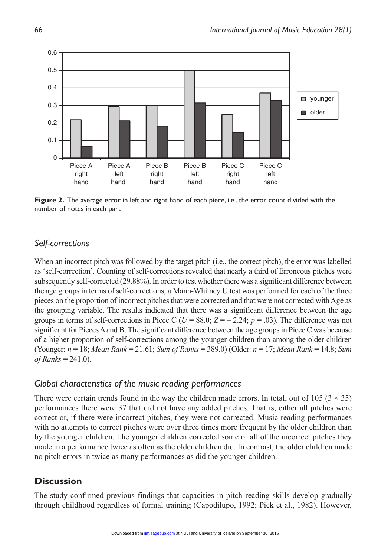

**Figure 2.** The average error in left and right hand of each piece, i.e., the error count divided with the number of notes in each part

# *Self-corrections*

When an incorrect pitch was followed by the target pitch (i.e., the correct pitch), the error was labelled as 'self-correction'. Counting of self-corrections revealed that nearly a third of Erroneous pitches were subsequently self-corrected (29.88%). In order to test whether there was a significant difference between the age groups in terms of self-corrections, a Mann-Whitney U test was performed for each of the three pieces on the proportion of incorrect pitches that were corrected and that were not corrected with Age as the grouping variable. The results indicated that there was a significant difference between the age groups in terms of self-corrections in Piece C ( $U = 88.0$ ;  $Z = -2.24$ ;  $p = .03$ ). The difference was not significant for Pieces A and B. The significant difference between the age groups in Piece C was because of a higher proportion of self-corrections among the younger children than among the older children (Younger: *n* = 18; *Mean Rank* = 21.61; *Sum of Ranks* = 389.0) (Older: *n* = 17; *Mean Rank* = 14.8; *Sum of Ranks* = 241.0).

#### *Global characteristics of the music reading performances*

There were certain trends found in the way the children made errors. In total, out of 105 ( $3 \times 35$ ) performances there were 37 that did not have any added pitches. That is, either all pitches were correct or, if there were incorrect pitches, they were not corrected. Music reading performances with no attempts to correct pitches were over three times more frequent by the older children than by the younger children. The younger children corrected some or all of the incorrect pitches they made in a performance twice as often as the older children did. In contrast, the older children made no pitch errors in twice as many performances as did the younger children.

# **Discussion**

The study confirmed previous findings that capacities in pitch reading skills develop gradually through childhood regardless of formal training (Capodilupo, 1992; Pick et al., 1982). However,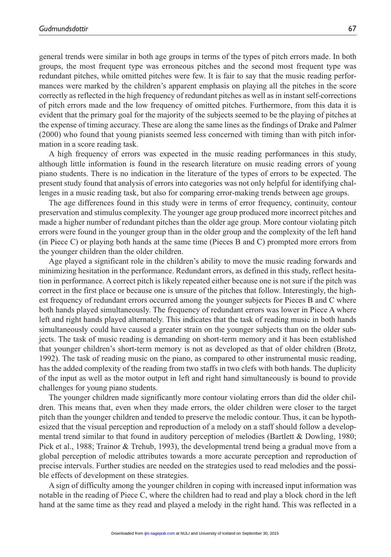general trends were similar in both age groups in terms of the types of pitch errors made. In both groups, the most frequent type was erroneous pitches and the second most frequent type was redundant pitches, while omitted pitches were few. It is fair to say that the music reading performances were marked by the children's apparent emphasis on playing all the pitches in the score correctly as reflected in the high frequency of redundant pitches as well as in instant self-corrections of pitch errors made and the low frequency of omitted pitches. Furthermore, from this data it is evident that the primary goal for the majority of the subjects seemed to be the playing of pitches at the expense of timing accuracy. These are along the same lines as the findings of Drake and Palmer (2000) who found that young pianists seemed less concerned with timing than with pitch information in a score reading task.

A high frequency of errors was expected in the music reading performances in this study, although little information is found in the research literature on music reading errors of young piano students. There is no indication in the literature of the types of errors to be expected. The present study found that analysis of errors into categories was not only helpful for identifying challenges in a music reading task, but also for comparing error-making trends between age groups.

The age differences found in this study were in terms of error frequency, continuity, contour preservation and stimulus complexity. The younger age group produced more incorrect pitches and made a higher number of redundant pitches than the older age group. More contour violating pitch errors were found in the younger group than in the older group and the complexity of the left hand (in Piece C) or playing both hands at the same time (Pieces B and C) prompted more errors from the younger children than the older children.

Age played a significant role in the children's ability to move the music reading forwards and minimizing hesitation in the performance. Redundant errors, as defined in this study, reflect hesitation in performance. A correct pitch is likely repeated either because one is not sure if the pitch was correct in the first place or because one is unsure of the pitches that follow. Interestingly, the highest frequency of redundant errors occurred among the younger subjects for Pieces B and C where both hands played simultaneously. The frequency of redundant errors was lower in Piece A where left and right hands played alternately. This indicates that the task of reading music in both hands simultaneously could have caused a greater strain on the younger subjects than on the older subjects. The task of music reading is demanding on short-term memory and it has been established that younger children's short-term memory is not as developed as that of older children (Brotz, 1992). The task of reading music on the piano, as compared to other instrumental music reading, has the added complexity of the reading from two staffs in two clefs with both hands. The duplicity of the input as well as the motor output in left and right hand simultaneously is bound to provide challenges for young piano students.

The younger children made significantly more contour violating errors than did the older children. This means that, even when they made errors, the older children were closer to the target pitch than the younger children and tended to preserve the melodic contour. Thus, it can be hypothesized that the visual perception and reproduction of a melody on a staff should follow a developmental trend similar to that found in auditory perception of melodies (Bartlett & Dowling, 1980; Pick et al., 1988; Trainor & Trehub, 1993), the developmental trend being a gradual move from a global perception of melodic attributes towards a more accurate perception and reproduction of precise intervals. Further studies are needed on the strategies used to read melodies and the possible effects of development on these strategies.

A sign of difficulty among the younger children in coping with increased input information was notable in the reading of Piece C, where the children had to read and play a block chord in the left hand at the same time as they read and played a melody in the right hand. This was reflected in a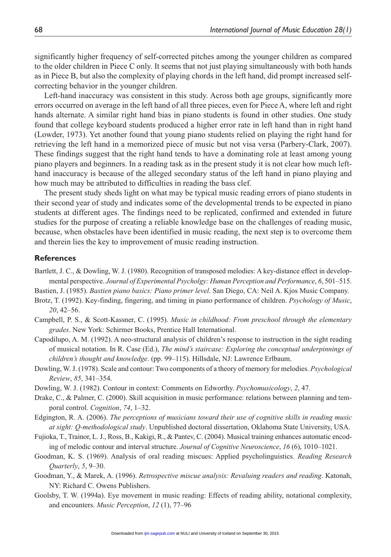significantly higher frequency of self-corrected pitches among the younger children as compared to the older children in Piece C only. It seems that not just playing simultaneously with both hands as in Piece B, but also the complexity of playing chords in the left hand, did prompt increased selfcorrecting behavior in the younger children.

Left-hand inaccuracy was consistent in this study. Across both age groups, significantly more errors occurred on average in the left hand of all three pieces, even for Piece A, where left and right hands alternate. A similar right hand bias in piano students is found in other studies. One study found that college keyboard students produced a higher error rate in left hand than in right hand (Lowder, 1973). Yet another found that young piano students relied on playing the right hand for retrieving the left hand in a memorized piece of music but not visa versa (Parbery-Clark, 2007). These findings suggest that the right hand tends to have a dominating role at least among young piano players and beginners. In a reading task as in the present study it is not clear how much lefthand inaccuracy is because of the alleged secondary status of the left hand in piano playing and how much may be attributed to difficulties in reading the bass clef.

The present study sheds light on what may be typical music reading errors of piano students in their second year of study and indicates some of the developmental trends to be expected in piano students at different ages. The findings need to be replicated, confirmed and extended in future studies for the purpose of creating a reliable knowledge base on the challenges of reading music, because, when obstacles have been identified in music reading, the next step is to overcome them and therein lies the key to improvement of music reading instruction.

#### **References**

Bartlett, J. C., & Dowling, W. J. (1980). Recognition of transposed melodies: A key-distance effect in developmental perspective. *Journal of Experimental Psycholgy: Human Perception and Performance*, *6*, 501–515.

Bastien, J. (1985). *Bastien piano basics: Piano primer level*. San Diego, CA: Neil A. Kjos Music Company.

- Brotz, T. (1992). Key-finding, fingering, and timing in piano performance of children. *Psychology of Music*, *20*, 42–56.
- Campbell, P. S., & Scott-Kassner, C. (1995). *Music in childhood: From preschool through the elementary grades*. New York: Schirmer Books, Prentice Hall International.
- Capodilupo, A. M. (1992). A neo-structural analysis of children's response to instruction in the sight reading of musical notation. In R. Case (Ed.), *The mind's staircase: Exploring the conceptual underpinnings of children's thought and knowledge*. (pp. 99–115). Hillsdale, NJ: Lawrence Erlbaum.
- Dowling, W. J. (1978). Scale and contour: Two components of a theory of memory for melodies. *Psychological Review*, *85*, 341–354.
- Dowling, W. J. (1982). Contour in context: Comments on Edworthy. *Psychomusicology*, *2*, 47.
- Drake, C., & Palmer, C. (2000). Skill acquisition in music performance: relations between planning and temporal control. *Cognition*, *74*, 1–32.
- Edgington, R. A. (2006). *The perceptions of musicians toward their use of cognitive skills in reading music at sight: Q-methodological study*. Unpublished doctoral dissertation, Oklahoma State University, USA.
- Fujioka, T., Trainor, L. J., Ross, B., Kakigi, R., & Pantev, C. (2004). Musical training enhances automatic encoding of melodic contour and interval structure. *Journal of Cognitive Neuroscience*, *16* (6), 1010–1021.
- Goodman, K. S. (1969). Analysis of oral reading miscues: Applied psycholinguistics. *Reading Research Quarterly*, *5*, 9–30.
- Goodman, Y., & Marek, A. (1996). *Retrospective miscue analysis: Revaluing readers and reading*. Katonah, NY: Richard C. Owens Publishers.
- Goolsby, T. W. (1994a). Eye movement in music reading: Effects of reading ability, notational complexity, and encounters. *Music Perception*, *12* (1), 77–96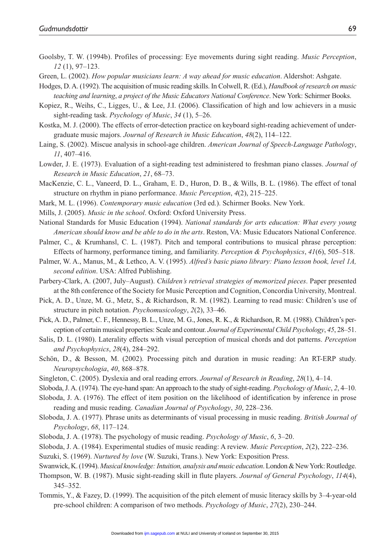- Goolsby, T. W. (1994b). Profiles of processing: Eye movements during sight reading. *Music Perception*, *12* (1), 97–123.
- Green, L. (2002). *How popular musicians learn: A way ahead for music education*. Aldershot: Ashgate.
- Hodges, D. A. (1992). The acquisition of music reading skills. In Colwell, R. (Ed.), *Handbook of research on music teaching and learning*, *a project of the Music Educators National Conference*. New York: Schirmer Books.
- Kopiez, R., Weihs, C., Ligges, U., & Lee, J.I. (2006). Classification of high and low achievers in a music sight-reading task. *Psychology of Music*, *34* (1), 5–26.
- Kostka, M. J. (2000). The effects of error-detection practice on keyboard sight-reading achievement of undergraduate music majors. *Journal of Research in Music Education*, *48*(2), 114–122.
- Laing, S. (2002). Miscue analysis in school-age children. *American Journal of Speech-Language Pathology*, *11*, 407–416.
- Lowder, J. E. (1973). Evaluation of a sight-reading test administered to freshman piano classes. *Journal of Research in Music Education*, *21*, 68–73.
- MacKenzie, C. L., Vaneerd, D. L., Graham, E. D., Huron, D. B., & Wills, B. L. (1986). The effect of tonal structure on rhythm in piano performance. *Music Perception*, *4*(2), 215–225.
- Mark, M. L. (1996). *Contemporary music education* (3rd ed.). Schirmer Books. New York.
- Mills, J. (2005). *Music in the school*. Oxford: Oxford University Press.
- National Standards for Music Education (1994). *National standards for arts education: What every young American should know and be able to do in the arts*. Reston, VA: Music Educators National Conference.
- Palmer, C., & Krumhansl, C. L. (1987). Pitch and temporal contributions to musical phrase perception: Effects of harmony, performance timing, and familiarity. *Perception & Psychophysics*, *41*(6), 505–518.
- Palmer, W. A., Manus, M., & Lethco, A. V. (1995). *Alfred's basic piano library: Piano lesson book, level 1A, second edition*. USA: Alfred Publishing.
- Parbery-Clark, A. (2007, July–August). *Children's retrieval strategies of memorized pieces*. Paper presented at the 8th conference of the Society for Music Perception and Cognition, Concordia University, Montreal.
- Pick, A. D., Unze, M. G., Metz, S., & Richardson, R. M. (1982). Learning to read music: Children's use of structure in pitch notation. *Psychomusicology*, *2*(2), 33–46.
- Pick, A. D., Palmer, C. F., Hennessy, B. L., Unze, M. G., Jones, R. K., & Richardson, R. M. (1988). Children's perception of certain musical properties: Scale and contour. *Journal of Experimental Child Psychology*, *45*, 28–51.
- Salis, D. L. (1980). Laterality effects with visual perception of musical chords and dot patterns. *Perception and Psychophysics*, *28*(4), 284–292.
- Schön, D., & Besson, M. (2002). Processing pitch and duration in music reading: An RT-ERP study. *Neuropsychologia*, *40*, 868–878.
- Singleton, C. (2005). Dyslexia and oral reading errors. *Journal of Research in Reading*, *28*(1), 4–14.
- Sloboda, J. A. (1974). The eye-hand span: An approach to the study of sight-reading. *Psychology of Music*, *2*, 4–10.
- Sloboda, J. A. (1976). The effect of item position on the likelihood of identification by inference in prose reading and music reading. *Canadian Journal of Psychology*, *30*, 228–236.
- Sloboda, J. A. (1977). Phrase units as determinants of visual processing in music reading. *British Journal of Psychology*, *68*, 117–124.
- Sloboda, J. A. (1978). The psychology of music reading. *Psychology of Music*, *6*, 3–20.
- Sloboda, J. A. (1984). Experimental studies of music reading: A review. *Music Perception*, *2*(2), 222–236.
- Suzuki, S. (1969). *Nurtured by love* (W. Suzuki, Trans.). New York: Exposition Press.

Swanwick, K. (1994). *Musical knowledge: Intuition, analysis and music education*. London & New York: Routledge.

- Thompson, W. B. (1987). Music sight-reading skill in flute players. *Journal of General Psychology*, *114*(4), 345–352.
- Tommis, Y., & Fazey, D. (1999). The acquisition of the pitch element of music literacy skills by 3–4-year-old pre-school children: A comparison of two methods. *Psychology of Music*, *27*(2), 230–244.